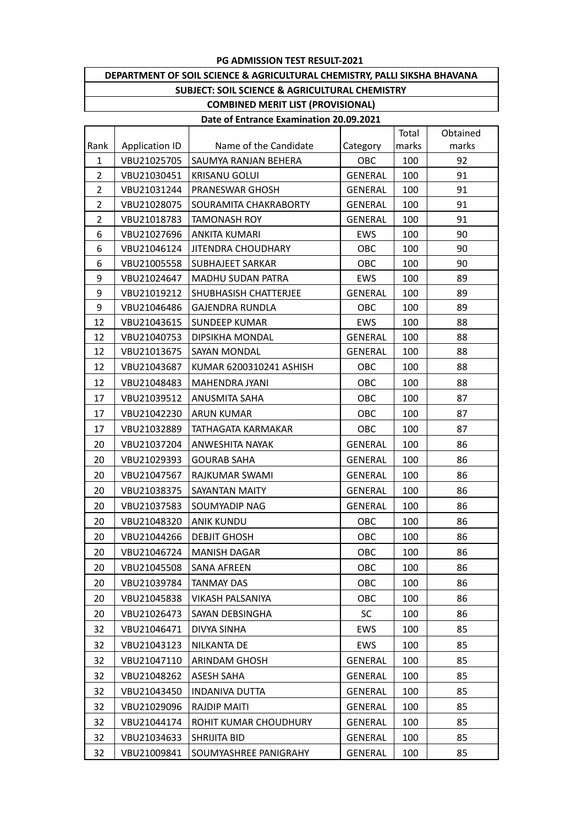### **DEPARTMENT OF SOIL SCIENCE & AGRICULTURAL CHEMISTRY, PALLI SIKSHA BHAVANA SUBJECT: SOIL SCIENCE & AGRICULTURAL CHEMISTRY**

### **COMBINED MERIT LIST (PROVISIONAL)**

|                |                       |                           |                | Total | Obtained |
|----------------|-----------------------|---------------------------|----------------|-------|----------|
| Rank           | <b>Application ID</b> | Name of the Candidate     | Category       | marks | marks    |
| $\mathbf{1}$   | VBU21025705           | SAUMYA RANJAN BEHERA      | OBC            | 100   | 92       |
| $\overline{2}$ | VBU21030451           | <b>KRISANU GOLUI</b>      | <b>GENERAL</b> | 100   | 91       |
| $\overline{2}$ | VBU21031244           | PRANESWAR GHOSH           | <b>GENERAL</b> | 100   | 91       |
| $\overline{2}$ | VBU21028075           | SOURAMITA CHAKRABORTY     | <b>GENERAL</b> | 100   | 91       |
| $\overline{2}$ | VBU21018783           | <b>TAMONASH ROY</b>       | <b>GENERAL</b> | 100   | 91       |
| 6              | VBU21027696           | <b>ANKITA KUMARI</b>      | EWS            | 100   | 90       |
| 6              | VBU21046124           | <b>JITENDRA CHOUDHARY</b> | OBC            | 100   | 90       |
| 6              | VBU21005558           | <b>SUBHAJEET SARKAR</b>   | OBC            | 100   | 90       |
| 9              | VBU21024647           | <b>MADHU SUDAN PATRA</b>  | EWS            | 100   | 89       |
| 9              | VBU21019212           | SHUBHASISH CHATTERJEE     | <b>GENERAL</b> | 100   | 89       |
| 9              | VBU21046486           | <b>GAJENDRA RUNDLA</b>    | OBC            | 100   | 89       |
| 12             | VBU21043615           | <b>SUNDEEP KUMAR</b>      | <b>EWS</b>     | 100   | 88       |
| 12             | VBU21040753           | <b>DIPSIKHA MONDAL</b>    | <b>GENERAL</b> | 100   | 88       |
| 12             | VBU21013675           | SAYAN MONDAL              | <b>GENERAL</b> | 100   | 88       |
| 12             | VBU21043687           | KUMAR 6200310241 ASHISH   | OBC            | 100   | 88       |
| 12             | VBU21048483           | MAHENDRA JYANI            | OBC            | 100   | 88       |
| 17             | VBU21039512           | <b>ANUSMITA SAHA</b>      | OBC            | 100   | 87       |
| 17             | VBU21042230           | <b>ARUN KUMAR</b>         | OBC            | 100   | 87       |
| 17             | VBU21032889           | TATHAGATA KARMAKAR        | OBC            | 100   | 87       |
| 20             | VBU21037204           | ANWESHITA NAYAK           | <b>GENERAL</b> | 100   | 86       |
| 20             | VBU21029393           | <b>GOURAB SAHA</b>        | <b>GENERAL</b> | 100   | 86       |
| 20             | VBU21047567           | RAJKUMAR SWAMI            | <b>GENERAL</b> | 100   | 86       |
| 20             | VBU21038375           | SAYANTAN MAITY            | <b>GENERAL</b> | 100   | 86       |
| 20             | VBU21037583           | SOUMYADIP NAG             | <b>GENERAL</b> | 100   | 86       |
| 20             | VBU21048320           | <b>ANIK KUNDU</b>         | OBC            | 100   | 86       |
| 20             | VBU21044266           | <b>DEBJIT GHOSH</b>       | OBC            | 100   | 86       |
| 20             | VBU21046724           | <b>MANISH DAGAR</b>       | OBC            | 100   | 86       |
| 20             | VBU21045508           | SANA AFREEN               | OBC            | 100   | 86       |
| 20             | VBU21039784           | TANMAY DAS                | OBC            | 100   | 86       |
| 20             | VBU21045838           | <b>VIKASH PALSANIYA</b>   | OBC            | 100   | 86       |
| 20             | VBU21026473           | SAYAN DEBSINGHA           | <b>SC</b>      | 100   | 86       |
| 32             | VBU21046471           | DIVYA SINHA               | EWS            | 100   | 85       |
| 32             | VBU21043123           | NILKANTA DE               | EWS            | 100   | 85       |
| 32             | VBU21047110           | ARINDAM GHOSH             | <b>GENERAL</b> | 100   | 85       |
| 32             | VBU21048262           | ASESH SAHA                | <b>GENERAL</b> | 100   | 85       |
| 32             | VBU21043450           | <b>INDANIVA DUTTA</b>     | <b>GENERAL</b> | 100   | 85       |
| 32             | VBU21029096           | <b>RAJDIP MAITI</b>       | <b>GENERAL</b> | 100   | 85       |
| 32             | VBU21044174           | ROHIT KUMAR CHOUDHURY     | <b>GENERAL</b> | 100   | 85       |
| 32             | VBU21034633           | SHRIJITA BID              | <b>GENERAL</b> | 100   | 85       |
| 32             | VBU21009841           | SOUMYASHREE PANIGRAHY     | <b>GENERAL</b> | 100   | 85       |
|                |                       |                           |                |       |          |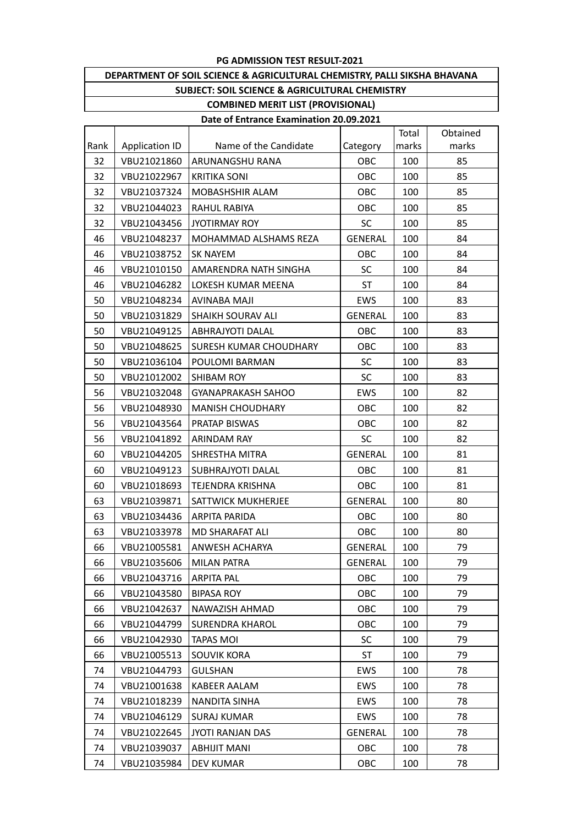## **DEPARTMENT OF SOIL SCIENCE & AGRICULTURAL CHEMISTRY, PALLI SIKSHA BHAVANA SUBJECT: SOIL SCIENCE & AGRICULTURAL CHEMISTRY**

### **COMBINED MERIT LIST (PROVISIONAL) Date of Entrance Examination 20.09.2021**

|      |                       |                           |                | Total | Obtained |
|------|-----------------------|---------------------------|----------------|-------|----------|
| Rank | <b>Application ID</b> | Name of the Candidate     | Category       | marks | marks    |
| 32   | VBU21021860           | ARUNANGSHU RANA           | OBC            | 100   | 85       |
| 32   | VBU21022967           | <b>KRITIKA SONI</b>       | OBC            | 100   | 85       |
| 32   | VBU21037324           | MOBASHSHIR ALAM           | OBC            | 100   | 85       |
| 32   | VBU21044023           | RAHUL RABIYA              | OBC            | 100   | 85       |
| 32   | VBU21043456           | <b>JYOTIRMAY ROY</b>      | <b>SC</b>      | 100   | 85       |
| 46   | VBU21048237           | MOHAMMAD ALSHAMS REZA     | <b>GENERAL</b> | 100   | 84       |
| 46   | VBU21038752           | <b>SK NAYEM</b>           | OBC            | 100   | 84       |
| 46   | VBU21010150           | AMARENDRA NATH SINGHA     | <b>SC</b>      | 100   | 84       |
| 46   | VBU21046282           | LOKESH KUMAR MEENA        | <b>ST</b>      | 100   | 84       |
| 50   | VBU21048234           | <b>AVINABA MAJI</b>       | EWS            | 100   | 83       |
| 50   | VBU21031829           | <b>SHAIKH SOURAV ALI</b>  | <b>GENERAL</b> | 100   | 83       |
| 50   | VBU21049125           | ABHRAJYOTI DALAL          | OBC            | 100   | 83       |
| 50   | VBU21048625           | SURESH KUMAR CHOUDHARY    | OBC            | 100   | 83       |
| 50   | VBU21036104           | POULOMI BARMAN            | <b>SC</b>      | 100   | 83       |
| 50   | VBU21012002           | <b>SHIBAM ROY</b>         | <b>SC</b>      | 100   | 83       |
| 56   | VBU21032048           | <b>GYANAPRAKASH SAHOO</b> | EWS            | 100   | 82       |
| 56   | VBU21048930           | <b>MANISH CHOUDHARY</b>   | OBC            | 100   | 82       |
| 56   | VBU21043564           | PRATAP BISWAS             | OBC            | 100   | 82       |
| 56   | VBU21041892           | <b>ARINDAM RAY</b>        | <b>SC</b>      | 100   | 82       |
| 60   | VBU21044205           | SHRESTHA MITRA            | <b>GENERAL</b> | 100   | 81       |
| 60   | VBU21049123           | SUBHRAJYOTI DALAL         | OBC            | 100   | 81       |
| 60   | VBU21018693           | TEJENDRA KRISHNA          | OBC            | 100   | 81       |
| 63   | VBU21039871           | SATTWICK MUKHERJEE        | <b>GENERAL</b> | 100   | 80       |
| 63   | VBU21034436           | ARPITA PARIDA             | OBC            | 100   | 80       |
| 63   | VBU21033978           | MD SHARAFAT ALI           | OBC            | 100   | 80       |
| 66   | VBU21005581           | ANWESH ACHARYA            | <b>GENERAL</b> | 100   | 79       |
| 66   | VBU21035606           | MILAN PATRA               | <b>GENERAL</b> | 100   | 79       |
| 66   | VBU21043716           | ARPITA PAL                | OBC            | 100   | 79       |
| 66   | VBU21043580           | <b>BIPASA ROY</b>         | OBC            | 100   | 79       |
| 66   | VBU21042637           | NAWAZISH AHMAD            | OBC            | 100   | 79       |
| 66   | VBU21044799           | <b>SURENDRA KHAROL</b>    | OBC            | 100   | 79       |
| 66   | VBU21042930           | <b>TAPAS MOI</b>          | <b>SC</b>      | 100   | 79       |
| 66   | VBU21005513           | <b>SOUVIK KORA</b>        | ST             | 100   | 79       |
| 74   | VBU21044793           | <b>GULSHAN</b>            | EWS            | 100   | 78       |
| 74   | VBU21001638           | <b>KABEER AALAM</b>       | EWS            | 100   | 78       |
| 74   | VBU21018239           | NANDITA SINHA             | EWS            | 100   | 78       |
| 74   | VBU21046129           | <b>SURAJ KUMAR</b>        | EWS            | 100   | 78       |
| 74   | VBU21022645           | <b>JYOTI RANJAN DAS</b>   | <b>GENERAL</b> | 100   | 78       |
| 74   | VBU21039037           | <b>ABHIJIT MANI</b>       | OBC            | 100   | 78       |
| 74   | VBU21035984           | <b>DEV KUMAR</b>          | OBC            | 100   | 78       |
|      |                       |                           |                |       |          |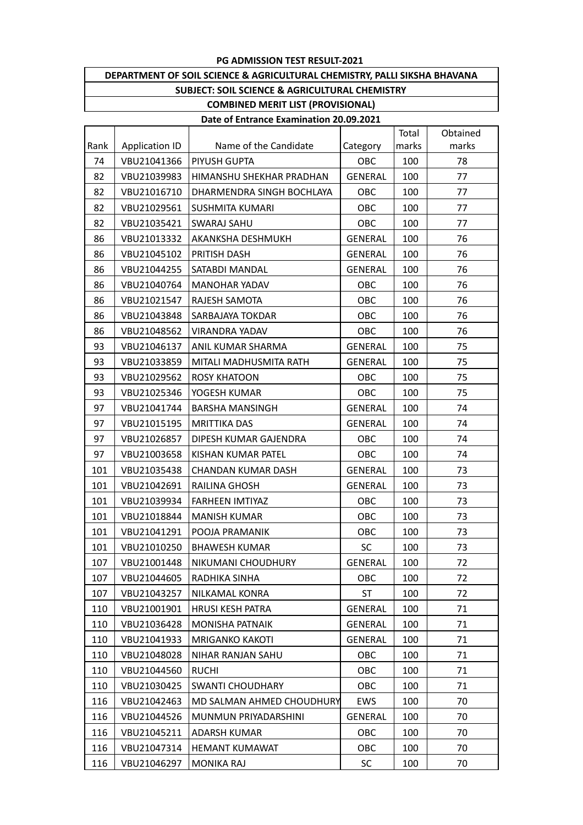## **DEPARTMENT OF SOIL SCIENCE & AGRICULTURAL CHEMISTRY, PALLI SIKSHA BHAVANA SUBJECT: SOIL SCIENCE & AGRICULTURAL CHEMISTRY**

## **COMBINED MERIT LIST (PROVISIONAL)**

|      |                       |                           |                | Total | Obtained |
|------|-----------------------|---------------------------|----------------|-------|----------|
| Rank | <b>Application ID</b> | Name of the Candidate     | Category       | marks | marks    |
| 74   | VBU21041366           | PIYUSH GUPTA              | OBC            | 100   | 78       |
| 82   | VBU21039983           | HIMANSHU SHEKHAR PRADHAN  | <b>GENERAL</b> | 100   | 77       |
| 82   | VBU21016710           | DHARMENDRA SINGH BOCHLAYA | OBC            | 100   | 77       |
| 82   | VBU21029561           | <b>SUSHMITA KUMARI</b>    | OBC            | 100   | 77       |
| 82   | VBU21035421           | <b>SWARAJ SAHU</b>        | OBC            | 100   | 77       |
| 86   | VBU21013332           | AKANKSHA DESHMUKH         | <b>GENERAL</b> | 100   | 76       |
| 86   | VBU21045102           | PRITISH DASH              | <b>GENERAL</b> | 100   | 76       |
| 86   | VBU21044255           | SATABDI MANDAL            | GENERAL        | 100   | 76       |
| 86   | VBU21040764           | <b>MANOHAR YADAV</b>      | OBC            | 100   | 76       |
| 86   | VBU21021547           | RAJESH SAMOTA             | OBC            | 100   | 76       |
| 86   | VBU21043848           | SARBAJAYA TOKDAR          | OBC            | 100   | 76       |
| 86   | VBU21048562           | <b>VIRANDRA YADAV</b>     | OBC            | 100   | 76       |
| 93   | VBU21046137           | ANIL KUMAR SHARMA         | <b>GENERAL</b> | 100   | 75       |
| 93   | VBU21033859           | MITALI MADHUSMITA RATH    | <b>GENERAL</b> | 100   | 75       |
| 93   | VBU21029562           | <b>ROSY KHATOON</b>       | OBC            | 100   | 75       |
| 93   | VBU21025346           | YOGESH KUMAR              | OBC            | 100   | 75       |
| 97   | VBU21041744           | <b>BARSHA MANSINGH</b>    | <b>GENERAL</b> | 100   | 74       |
| 97   | VBU21015195           | <b>MRITTIKA DAS</b>       | <b>GENERAL</b> | 100   | 74       |
| 97   | VBU21026857           | DIPESH KUMAR GAJENDRA     | OBC            | 100   | 74       |
| 97   | VBU21003658           | KISHAN KUMAR PATEL        | OBC            | 100   | 74       |
| 101  | VBU21035438           | <b>CHANDAN KUMAR DASH</b> | <b>GENERAL</b> | 100   | 73       |
| 101  | VBU21042691           | <b>RAILINA GHOSH</b>      | <b>GENERAL</b> | 100   | 73       |
| 101  | VBU21039934           | <b>FARHEEN IMTIYAZ</b>    | OBC            | 100   | 73       |
| 101  | VBU21018844           | <b>MANISH KUMAR</b>       | OBC            | 100   | 73       |
| 101  | VBU21041291           | POOJA PRAMANIK            | OBC            | 100   | 73       |
| 101  | VBU21010250           | <b>BHAWESH KUMAR</b>      | <b>SC</b>      | 100   | 73       |
| 107  | VBU21001448           | NIKUMANI CHOUDHURY        | <b>GENERAL</b> | 100   | 72       |
| 107  | VBU21044605           | RADHIKA SINHA             | OBC            | 100   | 72       |
| 107  | VBU21043257           | <b>NILKAMAL KONRA</b>     | ST             | 100   | 72       |
| 110  | VBU21001901           | <b>HRUSI KESH PATRA</b>   | <b>GENERAL</b> | 100   | 71       |
| 110  | VBU21036428           | MONISHA PATNAIK           | <b>GENERAL</b> | 100   | 71       |
| 110  | VBU21041933           | <b>MRIGANKO KAKOTI</b>    | <b>GENERAL</b> | 100   | 71       |
| 110  | VBU21048028           | NIHAR RANJAN SAHU         | OBC            | 100   | 71       |
| 110  | VBU21044560           | <b>RUCHI</b>              | OBC            | 100   | 71       |
| 110  | VBU21030425           | <b>SWANTI CHOUDHARY</b>   | OBC            | 100   | 71       |
| 116  | VBU21042463           | MD SALMAN AHMED CHOUDHURY | EWS            | 100   | 70       |
| 116  | VBU21044526           | MUNMUN PRIYADARSHINI      | <b>GENERAL</b> | 100   | 70       |
| 116  | VBU21045211           | ADARSH KUMAR              | OBC            | 100   | 70       |
| 116  | VBU21047314           | <b>HEMANT KUMAWAT</b>     | OBC            | 100   | 70       |
| 116  | VBU21046297           | <b>MONIKA RAJ</b>         | SC             | 100   | 70       |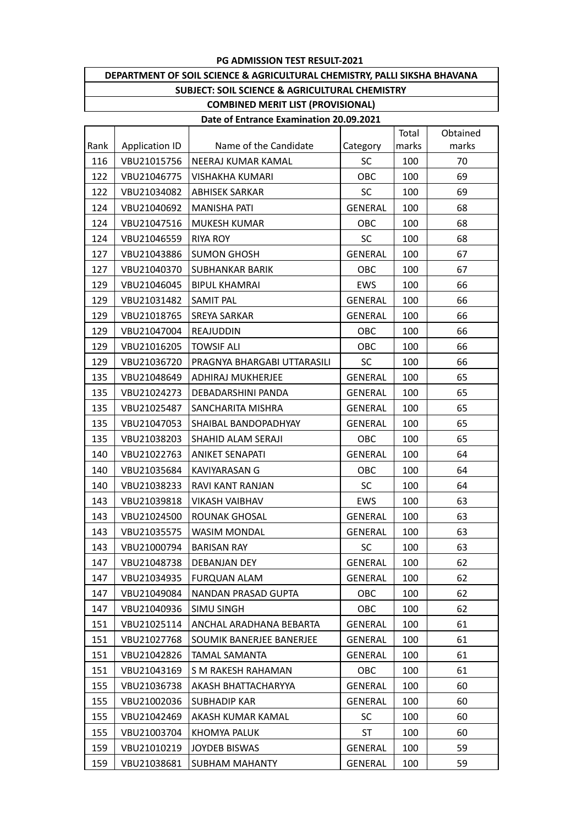### **DEPARTMENT OF SOIL SCIENCE & AGRICULTURAL CHEMISTRY, PALLI SIKSHA BHAVANA SUBJECT: SOIL SCIENCE & AGRICULTURAL CHEMISTRY COMBINED MERIT LIST (PROVISIONAL)**

|      |                       |                             |                | Total | Obtained |
|------|-----------------------|-----------------------------|----------------|-------|----------|
| Rank | <b>Application ID</b> | Name of the Candidate       | Category       | marks | marks    |
| 116  | VBU21015756           | NEERAJ KUMAR KAMAL          | SC             | 100   | 70       |
| 122  | VBU21046775           | <b>VISHAKHA KUMARI</b>      | OBC            | 100   | 69       |
| 122  | VBU21034082           | <b>ABHISEK SARKAR</b>       | <b>SC</b>      | 100   | 69       |
| 124  | VBU21040692           | <b>MANISHA PATI</b>         | <b>GENERAL</b> | 100   | 68       |
| 124  | VBU21047516           | <b>MUKESH KUMAR</b>         | OBC            | 100   | 68       |
| 124  | VBU21046559           | <b>RIYA ROY</b>             | <b>SC</b>      | 100   | 68       |
| 127  | VBU21043886           | <b>SUMON GHOSH</b>          | <b>GENERAL</b> | 100   | 67       |
| 127  | VBU21040370           | <b>SUBHANKAR BARIK</b>      | OBC            | 100   | 67       |
| 129  | VBU21046045           | <b>BIPUL KHAMRAI</b>        | EWS            | 100   | 66       |
| 129  | VBU21031482           | SAMIT PAL                   | <b>GENERAL</b> | 100   | 66       |
| 129  | VBU21018765           | <b>SREYA SARKAR</b>         | <b>GENERAL</b> | 100   | 66       |
| 129  | VBU21047004           | <b>REAJUDDIN</b>            | OBC            | 100   | 66       |
| 129  | VBU21016205           | <b>TOWSIF ALI</b>           | OBC            | 100   | 66       |
| 129  | VBU21036720           | PRAGNYA BHARGABI UTTARASILI | <b>SC</b>      | 100   | 66       |
| 135  | VBU21048649           | <b>ADHIRAJ MUKHERJEE</b>    | GENERAL        | 100   | 65       |
| 135  | VBU21024273           | DEBADARSHINI PANDA          | <b>GENERAL</b> | 100   | 65       |
| 135  | VBU21025487           | SANCHARITA MISHRA           | <b>GENERAL</b> | 100   | 65       |
| 135  | VBU21047053           | SHAIBAL BANDOPADHYAY        | <b>GENERAL</b> | 100   | 65       |
| 135  | VBU21038203           | SHAHID ALAM SERAJI          | OBC            | 100   | 65       |
| 140  | VBU21022763           | <b>ANIKET SENAPATI</b>      | <b>GENERAL</b> | 100   | 64       |
| 140  | VBU21035684           | <b>KAVIYARASAN G</b>        | OBC            | 100   | 64       |
| 140  | VBU21038233           | RAVI KANT RANJAN            | <b>SC</b>      | 100   | 64       |
| 143  | VBU21039818           | <b>VIKASH VAIBHAV</b>       | EWS            | 100   | 63       |
| 143  | VBU21024500           | ROUNAK GHOSAL               | GENERAL        | 100   | 63       |
| 143  | VBU21035575           | <b>WASIM MONDAL</b>         | <b>GENERAL</b> | 100   | 63       |
| 143  | VBU21000794           | <b>BARISAN RAY</b>          | <b>SC</b>      | 100   | 63       |
| 147  | VBU21048738           | DEBANJAN DEY                | GENERAL        | 100   | 62       |
| 147  | VBU21034935           | <b>FURQUAN ALAM</b>         | GENERAL        | 100   | 62       |
| 147  | VBU21049084           | NANDAN PRASAD GUPTA         | OBC            | 100   | 62       |
| 147  | VBU21040936           | SIMU SINGH                  | OBC            | 100   | 62       |
| 151  | VBU21025114           | ANCHAL ARADHANA BEBARTA     | GENERAL        | 100   | 61       |
| 151  | VBU21027768           | SOUMIK BANERJEE BANERJEE    | <b>GENERAL</b> | 100   | 61       |
| 151  | VBU21042826           | <b>TAMAL SAMANTA</b>        | <b>GENERAL</b> | 100   | 61       |
| 151  | VBU21043169           | S M RAKESH RAHAMAN          | OBC            | 100   | 61       |
| 155  | VBU21036738           | AKASH BHATTACHARYYA         | <b>GENERAL</b> | 100   | 60       |
| 155  | VBU21002036           | <b>SUBHADIP KAR</b>         | GENERAL        | 100   | 60       |
| 155  | VBU21042469           | AKASH KUMAR KAMAL           | <b>SC</b>      | 100   | 60       |
| 155  | VBU21003704           | KHOMYA PALUK                | ST             | 100   | 60       |
| 159  | VBU21010219           | JOYDEB BISWAS               | GENERAL        | 100   | 59       |
| 159  | VBU21038681           | <b>SUBHAM MAHANTY</b>       | <b>GENERAL</b> | 100   | 59       |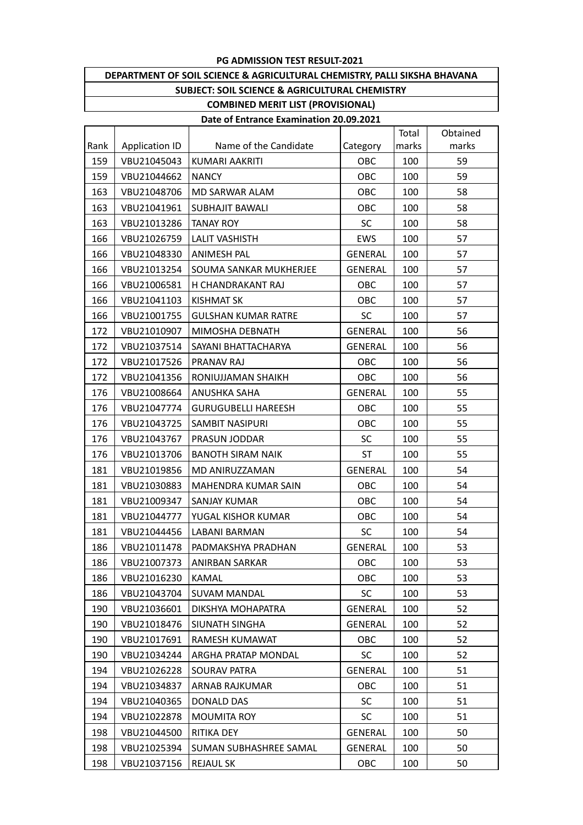### **DEPARTMENT OF SOIL SCIENCE & AGRICULTURAL CHEMISTRY, PALLI SIKSHA BHAVANA SUBJECT: SOIL SCIENCE & AGRICULTURAL CHEMISTRY COMBINED MERIT LIST (PROVISIONAL)**

|      |                       |                            |                | Total | Obtained |
|------|-----------------------|----------------------------|----------------|-------|----------|
| Rank | <b>Application ID</b> | Name of the Candidate      | Category       | marks | marks    |
| 159  | VBU21045043           | KUMARI AAKRITI             | OBC            | 100   | 59       |
| 159  | VBU21044662           | <b>NANCY</b>               | OBC            | 100   | 59       |
| 163  | VBU21048706           | MD SARWAR ALAM             | OBC            | 100   | 58       |
| 163  | VBU21041961           | <b>SUBHAJIT BAWALI</b>     | OBC            | 100   | 58       |
| 163  | VBU21013286           | <b>TANAY ROY</b>           | <b>SC</b>      | 100   | 58       |
| 166  | VBU21026759           | <b>LALIT VASHISTH</b>      | EWS            | 100   | 57       |
| 166  | VBU21048330           | ANIMESH PAL                | GENERAL        | 100   | 57       |
| 166  | VBU21013254           | SOUMA SANKAR MUKHERJEE     | <b>GENERAL</b> | 100   | 57       |
| 166  | VBU21006581           | H CHANDRAKANT RAJ          | OBC            | 100   | 57       |
| 166  | VBU21041103           | <b>KISHMAT SK</b>          | OBC            | 100   | 57       |
| 166  | VBU21001755           | <b>GULSHAN KUMAR RATRE</b> | <b>SC</b>      | 100   | 57       |
| 172  | VBU21010907           | MIMOSHA DEBNATH            | <b>GENERAL</b> | 100   | 56       |
| 172  | VBU21037514           | SAYANI BHATTACHARYA        | <b>GENERAL</b> | 100   | 56       |
| 172  | VBU21017526           | PRANAV RAJ                 | OBC            | 100   | 56       |
| 172  | VBU21041356           | RONIUJJAMAN SHAIKH         | OBC            | 100   | 56       |
| 176  | VBU21008664           | ANUSHKA SAHA               | <b>GENERAL</b> | 100   | 55       |
| 176  | VBU21047774           | <b>GURUGUBELLI HAREESH</b> | OBC            | 100   | 55       |
| 176  | VBU21043725           | <b>SAMBIT NASIPURI</b>     | OBC            | 100   | 55       |
| 176  | VBU21043767           | PRASUN JODDAR              | <b>SC</b>      | 100   | 55       |
| 176  | VBU21013706           | <b>BANOTH SIRAM NAIK</b>   | ST             | 100   | 55       |
| 181  | VBU21019856           | MD ANIRUZZAMAN             | <b>GENERAL</b> | 100   | 54       |
| 181  | VBU21030883           | MAHENDRA KUMAR SAIN        | OBC            | 100   | 54       |
| 181  | VBU21009347           | SANJAY KUMAR               | OBC            | 100   | 54       |
| 181  | VBU21044777           | YUGAL KISHOR KUMAR         | OBC            | 100   | 54       |
| 181  | VBU21044456           | LABANI BARMAN              | <b>SC</b>      | 100   | 54       |
| 186  | VBU21011478           | PADMAKSHYA PRADHAN         | <b>GENERAL</b> | 100   | 53       |
| 186  | VBU21007373           | ANIRBAN SARKAR             | <b>OBC</b>     | 100   | 53       |
| 186  | VBU21016230           | KAMAL                      | OBC            | 100   | 53       |
| 186  | VBU21043704           | <b>SUVAM MANDAL</b>        | <b>SC</b>      | 100   | 53       |
| 190  | VBU21036601           | DIKSHYA MOHAPATRA          | <b>GENERAL</b> | 100   | 52       |
| 190  | VBU21018476           | SIUNATH SINGHA             | <b>GENERAL</b> | 100   | 52       |
| 190  | VBU21017691           | RAMESH KUMAWAT             | OBC            | 100   | 52       |
| 190  | VBU21034244           | ARGHA PRATAP MONDAL        | <b>SC</b>      | 100   | 52       |
| 194  | VBU21026228           | SOURAV PATRA               | <b>GENERAL</b> | 100   | 51       |
| 194  | VBU21034837           | ARNAB RAJKUMAR             | OBC            | 100   | 51       |
| 194  | VBU21040365           | DONALD DAS                 | <b>SC</b>      | 100   | 51       |
| 194  | VBU21022878           | MOUMITA ROY                | <b>SC</b>      | 100   | 51       |
| 198  | VBU21044500           | <b>RITIKA DEY</b>          | <b>GENERAL</b> | 100   | 50       |
| 198  | VBU21025394           | SUMAN SUBHASHREE SAMAL     | <b>GENERAL</b> | 100   | 50       |
| 198  | VBU21037156           | <b>REJAUL SK</b>           | OBC            | 100   | 50       |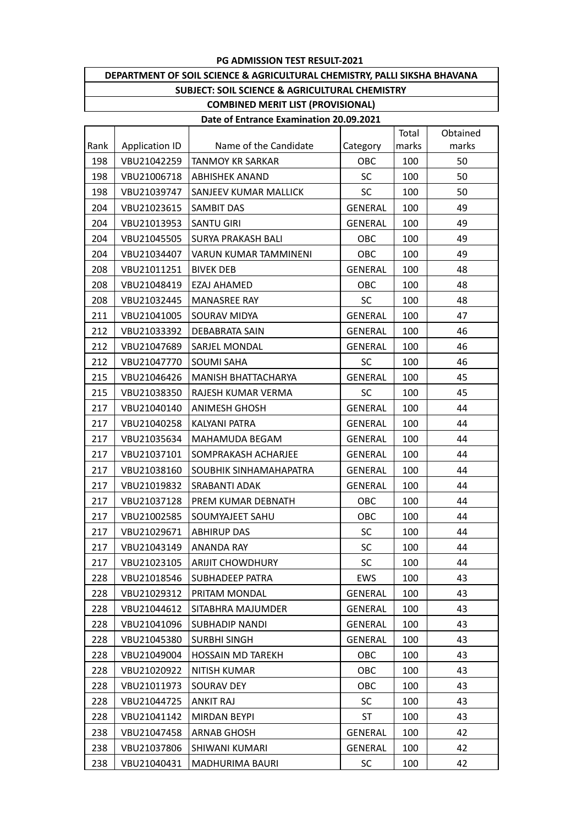### **DEPARTMENT OF SOIL SCIENCE & AGRICULTURAL CHEMISTRY, PALLI SIKSHA BHAVANA SUBJECT: SOIL SCIENCE & AGRICULTURAL CHEMISTRY COMBINED MERIT LIST (PROVISIONAL)**

|      |                       |                              |                | Total | Obtained |
|------|-----------------------|------------------------------|----------------|-------|----------|
| Rank | <b>Application ID</b> | Name of the Candidate        | Category       | marks | marks    |
| 198  | VBU21042259           | <b>TANMOY KR SARKAR</b>      | OBC            | 100   | 50       |
| 198  | VBU21006718           | <b>ABHISHEK ANAND</b>        | <b>SC</b>      | 100   | 50       |
| 198  | VBU21039747           | SANJEEV KUMAR MALLICK        | <b>SC</b>      | 100   | 50       |
| 204  | VBU21023615           | SAMBIT DAS                   | <b>GENERAL</b> | 100   | 49       |
| 204  | VBU21013953           | <b>SANTU GIRI</b>            | <b>GENERAL</b> | 100   | 49       |
| 204  | VBU21045505           | SURYA PRAKASH BALI           | OBC            | 100   | 49       |
| 204  | VBU21034407           | <b>VARUN KUMAR TAMMINENI</b> | OBC            | 100   | 49       |
| 208  | VBU21011251           | <b>BIVEK DEB</b>             | <b>GENERAL</b> | 100   | 48       |
| 208  | VBU21048419           | EZAJ AHAMED                  | OBC            | 100   | 48       |
| 208  | VBU21032445           | <b>MANASREE RAY</b>          | <b>SC</b>      | 100   | 48       |
| 211  | VBU21041005           | SOURAV MIDYA                 | <b>GENERAL</b> | 100   | 47       |
| 212  | VBU21033392           | DEBABRATA SAIN               | <b>GENERAL</b> | 100   | 46       |
| 212  | VBU21047689           | SARJEL MONDAL                | <b>GENERAL</b> | 100   | 46       |
| 212  | VBU21047770           | <b>SOUMI SAHA</b>            | SC             | 100   | 46       |
| 215  | VBU21046426           | MANISH BHATTACHARYA          | <b>GENERAL</b> | 100   | 45       |
| 215  | VBU21038350           | RAJESH KUMAR VERMA           | <b>SC</b>      | 100   | 45       |
| 217  | VBU21040140           | <b>ANIMESH GHOSH</b>         | <b>GENERAL</b> | 100   | 44       |
| 217  | VBU21040258           | KALYANI PATRA                | <b>GENERAL</b> | 100   | 44       |
| 217  | VBU21035634           | MAHAMUDA BEGAM               | <b>GENERAL</b> | 100   | 44       |
| 217  | VBU21037101           | SOMPRAKASH ACHARJEE          | <b>GENERAL</b> | 100   | 44       |
| 217  | VBU21038160           | SOUBHIK SINHAMAHAPATRA       | <b>GENERAL</b> | 100   | 44       |
| 217  | VBU21019832           | SRABANTI ADAK                | <b>GENERAL</b> | 100   | 44       |
| 217  | VBU21037128           | PREM KUMAR DEBNATH           | OBC            | 100   | 44       |
| 217  | VBU21002585           | SOUMYAJEET SAHU              | OBC            | 100   | 44       |
| 217  | VBU21029671           | <b>ABHIRUP DAS</b>           | <b>SC</b>      | 100   | 44       |
| 217  | VBU21043149           | <b>ANANDA RAY</b>            | <b>SC</b>      | 100   | 44       |
| 217  | VBU21023105           | <b>ARIJIT CHOWDHURY</b>      | SC             | 100   | 44       |
| 228  | VBU21018546           | SUBHADEEP PATRA              | EWS            | 100   | 43       |
| 228  | VBU21029312           | PRITAM MONDAL                | <b>GENERAL</b> | 100   | 43       |
| 228  | VBU21044612           | SITABHRA MAJUMDER            | GENERAL        | 100   | 43       |
| 228  | VBU21041096           | <b>SUBHADIP NANDI</b>        | GENERAL        | 100   | 43       |
| 228  | VBU21045380           | <b>SURBHI SINGH</b>          | <b>GENERAL</b> | 100   | 43       |
| 228  | VBU21049004           | <b>HOSSAIN MD TAREKH</b>     | OBC            | 100   | 43       |
| 228  | VBU21020922           | <b>NITISH KUMAR</b>          | OBC            | 100   | 43       |
| 228  | VBU21011973           | SOURAV DEY                   | OBC            | 100   | 43       |
| 228  | VBU21044725           | <b>ANKIT RAJ</b>             | <b>SC</b>      | 100   | 43       |
| 228  | VBU21041142           | MIRDAN BEYPI                 | <b>ST</b>      | 100   | 43       |
| 238  | VBU21047458           | <b>ARNAB GHOSH</b>           | <b>GENERAL</b> | 100   | 42       |
| 238  | VBU21037806           | SHIWANI KUMARI               | <b>GENERAL</b> | 100   | 42       |
| 238  | VBU21040431           | MADHURIMA BAURI              | <b>SC</b>      | 100   | 42       |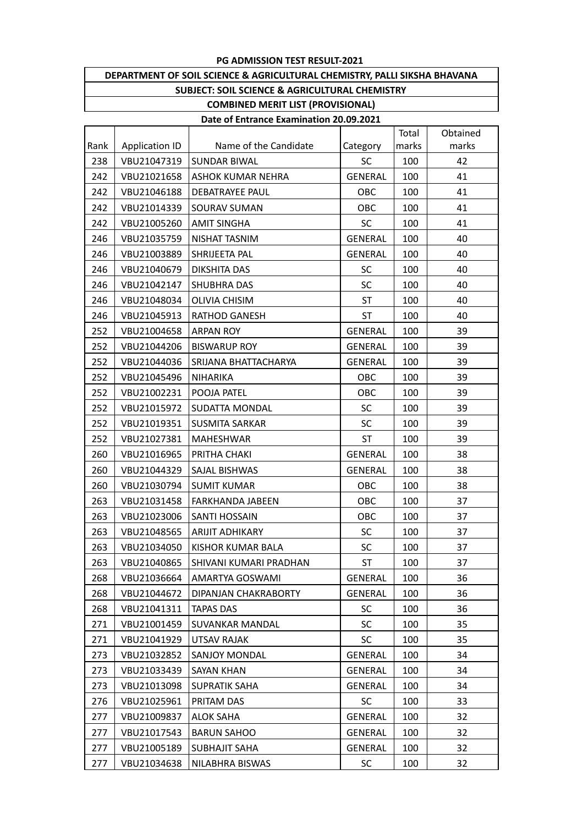### **DEPARTMENT OF SOIL SCIENCE & AGRICULTURAL CHEMISTRY, PALLI SIKSHA BHAVANA SUBJECT: SOIL SCIENCE & AGRICULTURAL CHEMISTRY COMBINED MERIT LIST (PROVISIONAL)**

|      |                       |                          |                | Total | Obtained |
|------|-----------------------|--------------------------|----------------|-------|----------|
| Rank | <b>Application ID</b> | Name of the Candidate    | Category       | marks | marks    |
| 238  | VBU21047319           | <b>SUNDAR BIWAL</b>      | SC             | 100   | 42       |
| 242  | VBU21021658           | <b>ASHOK KUMAR NEHRA</b> | <b>GENERAL</b> | 100   | 41       |
| 242  | VBU21046188           | DEBATRAYEE PAUL          | OBC            | 100   | 41       |
| 242  | VBU21014339           | SOURAV SUMAN             | OBC            | 100   | 41       |
| 242  | VBU21005260           | AMIT SINGHA              | SC.            | 100   | 41       |
| 246  | VBU21035759           | NISHAT TASNIM            | <b>GENERAL</b> | 100   | 40       |
| 246  | VBU21003889           | SHRIJEETA PAL            | <b>GENERAL</b> | 100   | 40       |
| 246  | VBU21040679           | DIKSHITA DAS             | SC             | 100   | 40       |
| 246  | VBU21042147           | SHUBHRA DAS              | SC             | 100   | 40       |
| 246  | VBU21048034           | <b>OLIVIA CHISIM</b>     | <b>ST</b>      | 100   | 40       |
| 246  | VBU21045913           | <b>RATHOD GANESH</b>     | ST             | 100   | 40       |
| 252  | VBU21004658           | <b>ARPAN ROY</b>         | <b>GENERAL</b> | 100   | 39       |
| 252  | VBU21044206           | <b>BISWARUP ROY</b>      | <b>GENERAL</b> | 100   | 39       |
| 252  | VBU21044036           | SRIJANA BHATTACHARYA     | <b>GENERAL</b> | 100   | 39       |
| 252  | VBU21045496           | <b>NIHARIKA</b>          | OBC            | 100   | 39       |
| 252  | VBU21002231           | POOJA PATEL              | OBC            | 100   | 39       |
| 252  | VBU21015972           | SUDATTA MONDAL           | <b>SC</b>      | 100   | 39       |
| 252  | VBU21019351           | <b>SUSMITA SARKAR</b>    | <b>SC</b>      | 100   | 39       |
| 252  | VBU21027381           | <b>MAHESHWAR</b>         | ST             | 100   | 39       |
| 260  | VBU21016965           | PRITHA CHAKI             | <b>GENERAL</b> | 100   | 38       |
| 260  | VBU21044329           | SAJAL BISHWAS            | GENERAL        | 100   | 38       |
| 260  | VBU21030794           | <b>SUMIT KUMAR</b>       | OBC            | 100   | 38       |
| 263  | VBU21031458           | <b>FARKHANDA JABEEN</b>  | OBC            | 100   | 37       |
| 263  | VBU21023006           | <b>SANTI HOSSAIN</b>     | OBC            | 100   | 37       |
| 263  | VBU21048565           | <b>ARIJIT ADHIKARY</b>   | <b>SC</b>      | 100   | 37       |
| 263  | VBU21034050           | <b>KISHOR KUMAR BALA</b> | <b>SC</b>      | 100   | 37       |
| 263  | VBU21040865           | SHIVANI KUMARI PRADHAN   | ST             | 100   | 37       |
| 268  | VBU21036664           | AMARTYA GOSWAMI          | <b>GENERAL</b> | 100   | 36       |
| 268  | VBU21044672           | DIPANJAN CHAKRABORTY     | <b>GENERAL</b> | 100   | 36       |
| 268  | VBU21041311           | TAPAS DAS                | <b>SC</b>      | 100   | 36       |
| 271  | VBU21001459           | <b>SUVANKAR MANDAL</b>   | <b>SC</b>      | 100   | 35       |
| 271  | VBU21041929           | UTSAV RAJAK              | <b>SC</b>      | 100   | 35       |
| 273  | VBU21032852           | <b>SANJOY MONDAL</b>     | <b>GENERAL</b> | 100   | 34       |
| 273  | VBU21033439           | <b>SAYAN KHAN</b>        | <b>GENERAL</b> | 100   | 34       |
| 273  | VBU21013098           | <b>SUPRATIK SAHA</b>     | <b>GENERAL</b> | 100   | 34       |
| 276  | VBU21025961           | PRITAM DAS               | <b>SC</b>      | 100   | 33       |
| 277  | VBU21009837           | <b>ALOK SAHA</b>         | <b>GENERAL</b> | 100   | 32       |
| 277  | VBU21017543           | <b>BARUN SAHOO</b>       | <b>GENERAL</b> | 100   | 32       |
| 277  | VBU21005189           | <b>SUBHAJIT SAHA</b>     | <b>GENERAL</b> | 100   | 32       |
| 277  | VBU21034638           | NILABHRA BISWAS          | <b>SC</b>      | 100   | 32       |